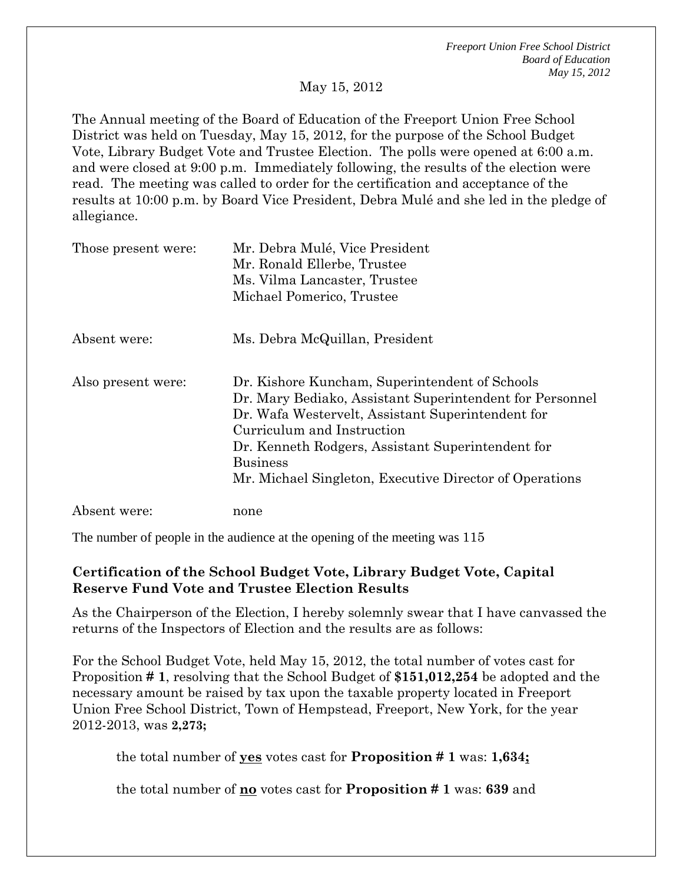*Freeport Union Free School District Board of Education May 15, 2012* 

May 15, 2012

The Annual meeting of the Board of Education of the Freeport Union Free School District was held on Tuesday, May 15, 2012, for the purpose of the School Budget Vote, Library Budget Vote and Trustee Election. The polls were opened at 6:00 a.m. and were closed at 9:00 p.m. Immediately following, the results of the election were read. The meeting was called to order for the certification and acceptance of the results at 10:00 p.m. by Board Vice President, Debra Mulé and she led in the pledge of allegiance.

| Those present were: | Mr. Debra Mulé, Vice President<br>Mr. Ronald Ellerbe, Trustee<br>Ms. Vilma Lancaster, Trustee<br>Michael Pomerico, Trustee                                                                                                                                                                                                       |
|---------------------|----------------------------------------------------------------------------------------------------------------------------------------------------------------------------------------------------------------------------------------------------------------------------------------------------------------------------------|
| Absent were:        | Ms. Debra McQuillan, President                                                                                                                                                                                                                                                                                                   |
| Also present were:  | Dr. Kishore Kuncham, Superintendent of Schools<br>Dr. Mary Bediako, Assistant Superintendent for Personnel<br>Dr. Wafa Westervelt, Assistant Superintendent for<br>Curriculum and Instruction<br>Dr. Kenneth Rodgers, Assistant Superintendent for<br><b>Business</b><br>Mr. Michael Singleton, Executive Director of Operations |
| Absent were:        | none                                                                                                                                                                                                                                                                                                                             |

The number of people in the audience at the opening of the meeting was 115

## **Certification of the School Budget Vote, Library Budget Vote, Capital Reserve Fund Vote and Trustee Election Results**

As the Chairperson of the Election, I hereby solemnly swear that I have canvassed the returns of the Inspectors of Election and the results are as follows:

For the School Budget Vote, held May 15, 2012, the total number of votes cast for Proposition **# 1**, resolving that the School Budget of **\$151,012,254** be adopted and the necessary amount be raised by tax upon the taxable property located in Freeport Union Free School District, Town of Hempstead, Freeport, New York, for the year 2012-2013, was **2,273;** 

the total number of **yes** votes cast for **Proposition # 1** was: **1,634;**

the total number of **no** votes cast for **Proposition # 1** was: **639** and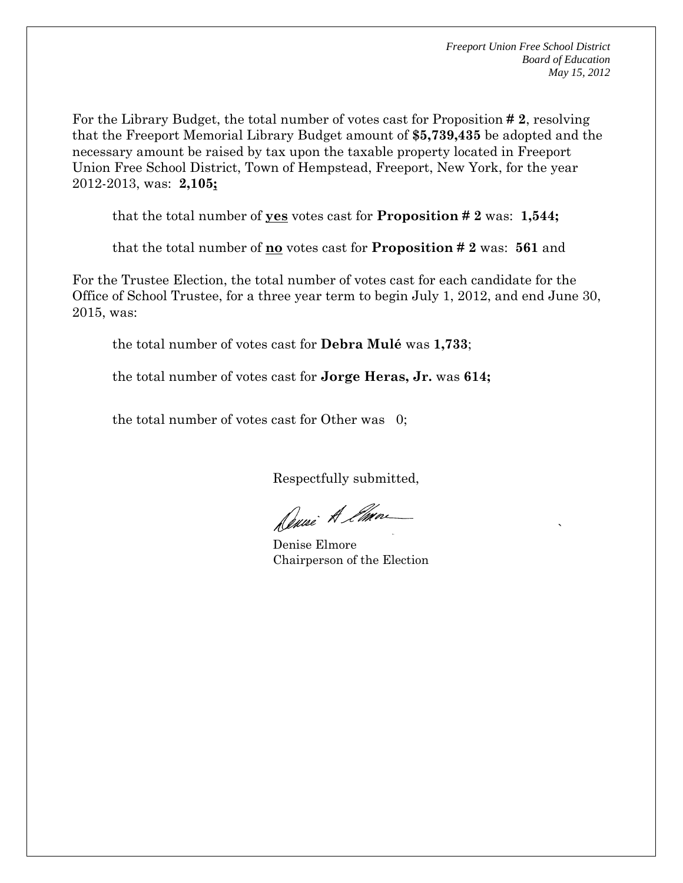the contract of the contract of the contract of the contract of the contract of the contract of the contract o<br>The contract of the contract of the contract of the contract of the contract of the contract of the contract o

For the Library Budget, the total number of votes cast for Proposition **# 2**, resolving that the Freeport Memorial Library Budget amount of **\$5,739,435** be adopted and the necessary amount be raised by tax upon the taxable property located in Freeport Union Free School District, Town of Hempstead, Freeport, New York, for the year 2012-2013, was: **2,105;**

that the total number of **yes** votes cast for **Proposition # 2** was: **1,544;** 

that the total number of **no** votes cast for **Proposition # 2** was: **561** and

For the Trustee Election, the total number of votes cast for each candidate for the Office of School Trustee, for a three year term to begin July 1, 2012, and end June 30, 2015, was:

the total number of votes cast for **Debra Mulé** was **1,733**;

the total number of votes cast for **Jorge Heras, Jr.** was **614;** 

the total number of votes cast for Other was 0;

Respectfully submitted,

Dune A Emme

Denise Elmore Chairperson of the Election